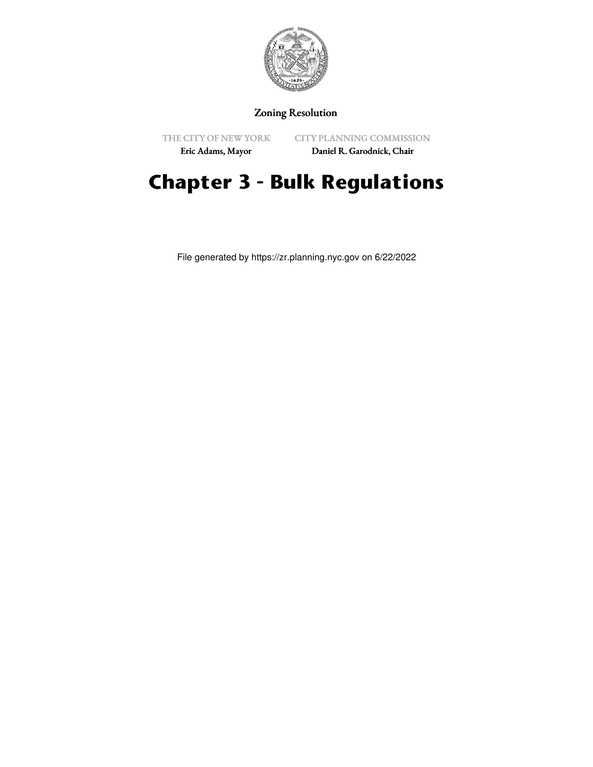

# Zoning Resolution

THE CITY OF NEW YORK Eric Adams, Mayor

CITY PLANNING COMMISSION

Daniel R. Garodnick, Chair

# **Chapter 3 - Bulk Regulations**

File generated by https://zr.planning.nyc.gov on 6/22/2022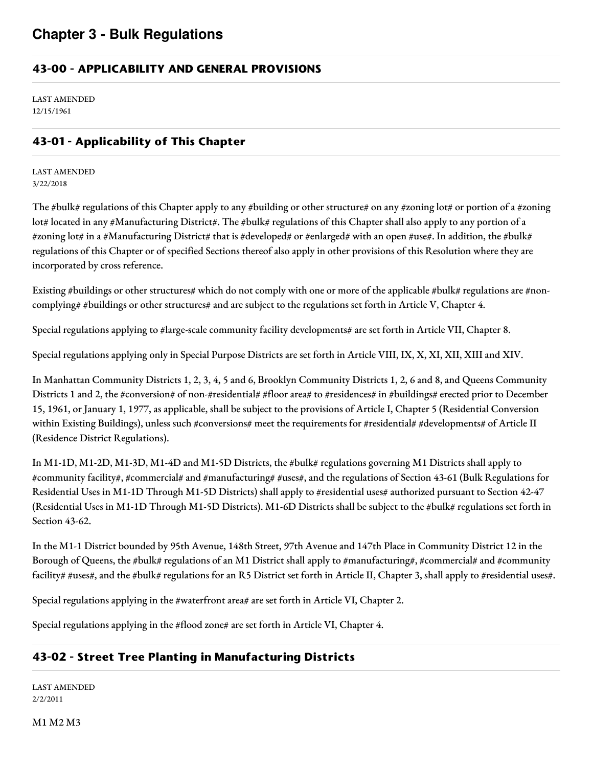# **43-00 - APPLICABILITY AND GENERAL PROVISIONS**

LAST AMENDED 12/15/1961

# **43-01 - Applicability of This Chapter**

LAST AMENDED 3/22/2018

The #bulk# regulations of this Chapter apply to any #building or other structure# on any #zoning lot# or portion of a #zoning lot# located in any #Manufacturing District#. The #bulk# regulations of this Chapter shall also apply to any portion of a #zoning lot# in a #Manufacturing District# that is #developed# or #enlarged# with an open #use#. In addition, the #bulk# regulations of this Chapter or of specified Sections thereof also apply in other provisions of this Resolution where they are incorporated by cross reference.

Existing #buildings or other structures# which do not comply with one or more of the applicable #bulk# regulations are #noncomplying# #buildings or other structures# and are subject to the regulations set forth in Article V, Chapter 4.

Special regulations applying to #large-scale community facility developments# are set forth in Article VII, Chapter 8.

Special regulations applying only in Special Purpose Districts are set forth in Article VIII, IX, X, XI, XII, XIII and XIV.

In Manhattan Community Districts 1, 2, 3, 4, 5 and 6, Brooklyn Community Districts 1, 2, 6 and 8, and Queens Community Districts 1 and 2, the #conversion# of non-#residential# #floor area# to #residences# in #buildings# erected prior to December 15, 1961, or January 1, 1977, as applicable, shall be subject to the provisions of Article I, Chapter 5 (Residential Conversion within Existing Buildings), unless such #conversions# meet the requirements for #residential# #developments# of Article II (Residence District Regulations).

In M1-1D, M1-2D, M1-3D, M1-4D and M1-5D Districts, the #bulk# regulations governing M1 Districts shall apply to #community facility#, #commercial# and #manufacturing# #uses#, and the regulations of Section 43-61 (Bulk Regulations for Residential Uses in M1-1D Through M1-5D Districts) shall apply to #residential uses# authorized pursuant to Section 42-47 (Residential Uses in M1-1D Through M1-5D Districts). M1-6D Districts shall be subject to the #bulk# regulations set forth in Section 43-62.

In the M1-1 District bounded by 95th Avenue, 148th Street, 97th Avenue and 147th Place in Community District 12 in the Borough of Queens, the #bulk# regulations of an M1 District shall apply to #manufacturing#, #commercial# and #community facility# #uses#, and the #bulk# regulations for an R5 District set forth in Article II, Chapter 3, shall apply to #residential uses#.

Special regulations applying in the #waterfront area# are set forth in Article VI, Chapter 2.

Special regulations applying in the #flood zone# are set forth in Article VI, Chapter 4.

# **43-02 - Street Tree Planting in Manufacturing Districts**

LAST AMENDED 2/2/2011

M1 M2 M3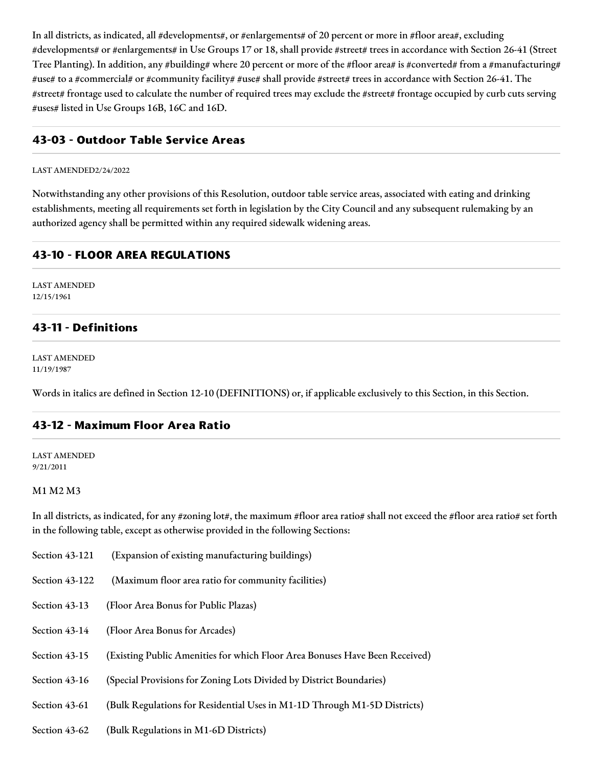In all districts, as indicated, all #developments#, or #enlargements# of 20 percent or more in #floor area#, excluding #developments# or #enlargements# in Use Groups 17 or 18, shall provide #street# trees in accordance with Section 26-41 (Street Tree Planting). In addition, any #building# where 20 percent or more of the #floor area# is #converted# from a #manufacturing# #use# to a #commercial# or #community facility# #use# shall provide #street# trees in accordance with Section 26-41. The #street# frontage used to calculate the number of required trees may exclude the #street# frontage occupied by curb cuts serving #uses# listed in Use Groups 16B, 16C and 16D.

### **43-03 - Outdoor Table Service Areas**

#### LAST AMENDED2/24/2022

Notwithstanding any other provisions of this Resolution, outdoor table service areas, associated with eating and drinking establishments, meeting all requirements set forth in legislation by the City Council and any subsequent rulemaking by an authorized agency shall be permitted within any required sidewalk widening areas.

### **43-10 - FLOOR AREA REGULATIONS**

LAST AMENDED 12/15/1961

# **43-11 - Definitions**

LAST AMENDED 11/19/1987

Words in italics are defined in Section 12-10 (DEFINITIONS) or, if applicable exclusively to this Section, in this Section.

### **43-12 - Maximum Floor Area Ratio**

LAST AMENDED 9/21/2011

#### M1 M2 M3

In all districts, as indicated, for any #zoning lot#, the maximum #floor area ratio# shall not exceed the #floor area ratio# set forth in the following table, except as otherwise provided in the following Sections:

- Section 43-121 (Expansion of existing manufacturing buildings)
- Section 43-122 (Maximum floor area ratio for community facilities)
- Section 43-13 (Floor Area Bonus for Public Plazas)
- Section 43-14 (Floor Area Bonus for Arcades)
- Section 43-15 (Existing Public Amenities for which Floor Area Bonuses Have Been Received)
- Section 43-16 (Special Provisions for Zoning Lots Divided by District Boundaries)
- Section 43-61 (Bulk Regulations for Residential Uses in M1-1D Through M1-5D Districts)
- Section 43-62 (Bulk Regulations in M1-6D Districts)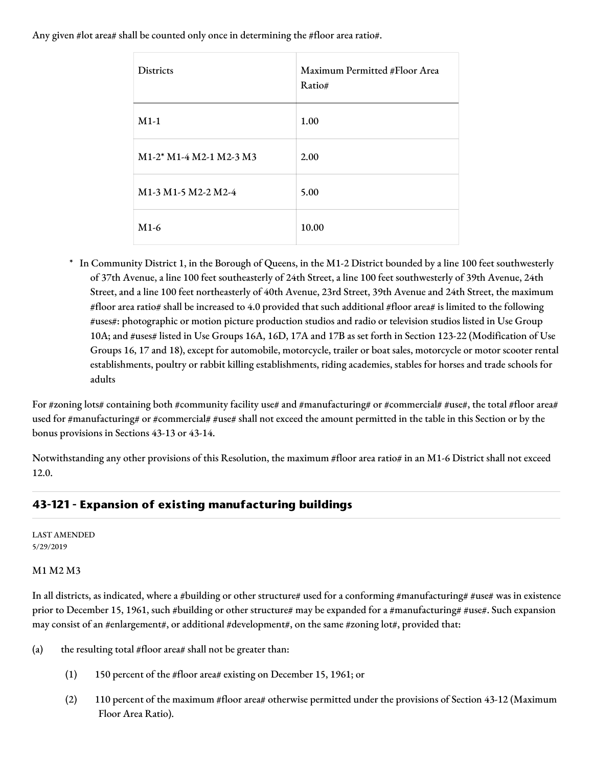Any given #lot area# shall be counted only once in determining the #floor area ratio#.

| Districts                                                               | Maximum Permitted #Floor Area<br>Ratio# |
|-------------------------------------------------------------------------|-----------------------------------------|
| $M1-1$                                                                  | 1.00                                    |
| M1-2* M1-4 M2-1 M2-3 M3                                                 | 2.00                                    |
| M <sub>1</sub> -3 M <sub>1</sub> -5 M <sub>2</sub> -2 M <sub>2</sub> -4 | 5.00                                    |
| $M1-6$                                                                  | 10.00                                   |

\* In Community District 1, in the Borough of Queens, in the M1-2 District bounded by a line 100 feet southwesterly of 37th Avenue, a line 100 feet southeasterly of 24th Street, a line 100 feet southwesterly of 39th Avenue, 24th Street, and a line 100 feet northeasterly of 40th Avenue, 23rd Street, 39th Avenue and 24th Street, the maximum #floor area ratio# shall be increased to 4.0 provided that such additional #floor area# is limited to the following #uses#: photographic or motion picture production studios and radio or television studios listed in Use Group 10A; and #uses# listed in Use Groups 16A, 16D, 17A and 17B as set forth in Section 123-22 (Modification of Use Groups 16, 17 and 18), except for automobile, motorcycle, trailer or boat sales, motorcycle or motor scooter rental establishments, poultry or rabbit killing establishments, riding academies, stables for horses and trade schools for adults

For #zoning lots# containing both #community facility use# and #manufacturing# or #commercial# #use#, the total #floor area# used for #manufacturing# or #commercial# #use# shall not exceed the amount permitted in the table in this Section or by the bonus provisions in Sections 43-13 or 43-14.

Notwithstanding any other provisions of this Resolution, the maximum #floor area ratio# in an M1-6 District shall not exceed 12.0.

# **43-121 - Expansion of existing manufacturing buildings**

LAST AMENDED 5/29/2019

#### M1 M2 M3

In all districts, as indicated, where a #building or other structure# used for a conforming #manufacturing# #use# was in existence prior to December 15, 1961, such #building or other structure# may be expanded for a #manufacturing# #use#. Such expansion may consist of an #enlargement#, or additional #development#, on the same #zoning lot#, provided that:

- (a) the resulting total #floor area# shall not be greater than:
	- (1) 150 percent of the #floor area# existing on December 15, 1961; or
	- (2) 110 percent of the maximum #floor area# otherwise permitted under the provisions of Section 43-12 (Maximum Floor Area Ratio).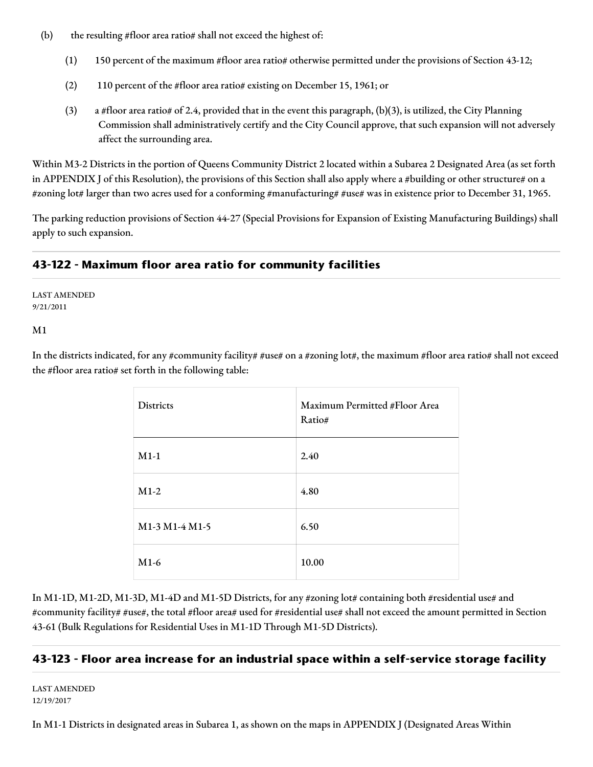- (b) the resulting #floor area ratio# shall not exceed the highest of:
	- (1) 150 percent of the maximum #floor area ratio# otherwise permitted under the provisions of Section 43-12;
	- (2) 110 percent of the #floor area ratio# existing on December 15, 1961; or
	- (3) a #floor area ratio# of 2.4, provided that in the event this paragraph, (b)(3), is utilized, the City Planning Commission shall administratively certify and the City Council approve, that such expansion will not adversely affect the surrounding area.

Within M3-2 Districts in the portion of Queens Community District 2 located within a Subarea 2 Designated Area (as set forth in APPENDIX J of this Resolution), the provisions of this Section shall also apply where a #building or other structure# on a #zoning lot# larger than two acres used for a conforming #manufacturing# #use# was in existence prior to December 31, 1965.

The parking reduction provisions of Section 44-27 (Special Provisions for Expansion of Existing Manufacturing Buildings) shall apply to such expansion.

# **43-122 - Maximum floor area ratio for community facilities**

LAST AMENDED 9/21/2011

M1

In the districts indicated, for any #community facility# #use# on a #zoning lot#, the maximum #floor area ratio# shall not exceed the #floor area ratio# set forth in the following table:

| <b>Districts</b> | Maximum Permitted #Floor Area<br>Ratio# |
|------------------|-----------------------------------------|
| $M1-1$           | 2.40                                    |
| $M1-2$           | 4.80                                    |
| M1-3 M1-4 M1-5   | 6.50                                    |
| $M1-6$           | 10.00                                   |

In M1-1D, M1-2D, M1-3D, M1-4D and M1-5D Districts, for any #zoning lot# containing both #residential use# and #community facility# #use#, the total #floor area# used for #residential use# shall not exceed the amount permitted in Section 43-61 (Bulk Regulations for Residential Uses in M1-1D Through M1-5D Districts).

# **43-123 - Floor area increase for an industrial space within a self-service storage facility**

LAST AMENDED 12/19/2017

In M1-1 Districts in designated areas in Subarea 1, as shown on the maps in APPENDIX J (Designated Areas Within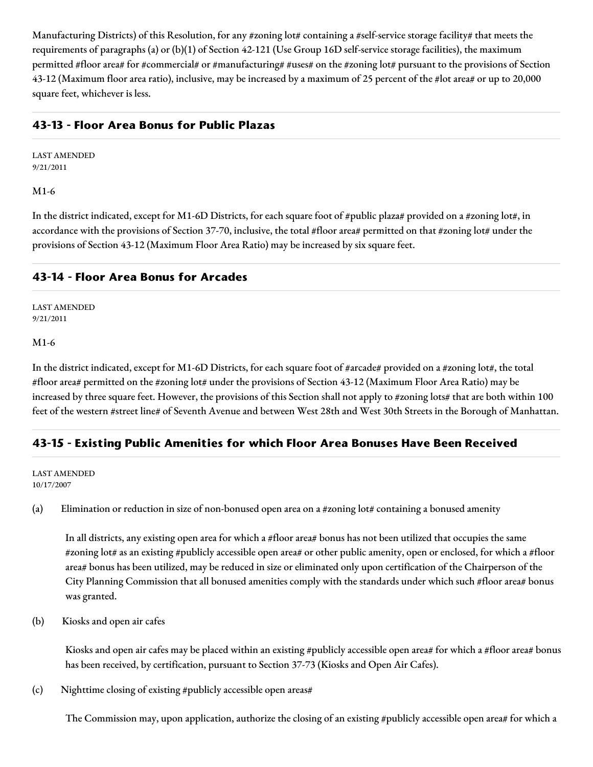Manufacturing Districts) of this Resolution, for any #zoning lot# containing a #self-service storage facility# that meets the requirements of paragraphs (a) or (b)(1) of Section 42-121 (Use Group 16D self-service storage facilities), the maximum permitted #floor area# for #commercial# or #manufacturing# #uses# on the #zoning lot# pursuant to the provisions of Section 43-12 (Maximum floor area ratio), inclusive, may be increased by a maximum of 25 percent of the #lot area# or up to 20,000 square feet, whichever is less.

# **43-13 - Floor Area Bonus for Public Plazas**

LAST AMENDED 9/21/2011

#### M1-6

In the district indicated, except for M1-6D Districts, for each square foot of #public plaza# provided on a #zoning lot#, in accordance with the provisions of Section 37-70, inclusive, the total #floor area# permitted on that #zoning lot# under the provisions of Section 43-12 (Maximum Floor Area Ratio) may be increased by six square feet.

# **43-14 - Floor Area Bonus for Arcades**

LAST AMENDED 9/21/2011

#### M1-6

In the district indicated, except for M1-6D Districts, for each square foot of #arcade# provided on a #zoning lot#, the total #floor area# permitted on the #zoning lot# under the provisions of Section 43-12 (Maximum Floor Area Ratio) may be increased by three square feet. However, the provisions of this Section shall not apply to #zoning lots# that are both within 100 feet of the western #street line# of Seventh Avenue and between West 28th and West 30th Streets in the Borough of Manhattan.

# **43-15 - Existing Public Amenities for which Floor Area Bonuses Have Been Received**

#### LAST AMENDED 10/17/2007

(a) Elimination or reduction in size of non-bonused open area on a #zoning lot# containing a bonused amenity

In all districts, any existing open area for which a #floor area# bonus has not been utilized that occupies the same #zoning lot# as an existing #publicly accessible open area# or other public amenity, open or enclosed, for which a #floor area# bonus has been utilized, may be reduced in size or eliminated only upon certification of the Chairperson of the City Planning Commission that all bonused amenities comply with the standards under which such #floor area# bonus was granted.

#### (b) Kiosks and open air cafes

Kiosks and open air cafes may be placed within an existing #publicly accessible open area# for which a #floor area# bonus has been received, by certification, pursuant to Section 37-73 (Kiosks and Open Air Cafes).

(c) Nighttime closing of existing #publicly accessible open areas#

The Commission may, upon application, authorize the closing of an existing #publicly accessible open area# for which a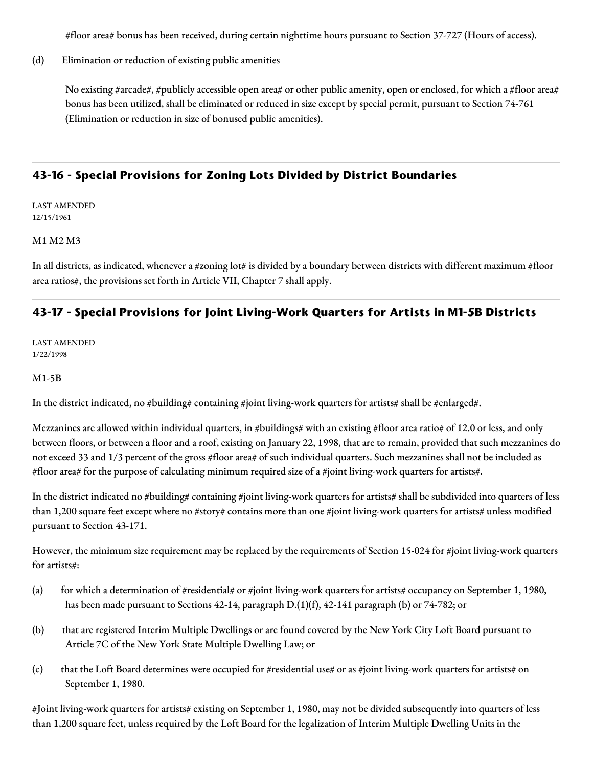#floor area# bonus has been received, during certain nighttime hours pursuant to Section 37-727 (Hours of access).

(d) Elimination or reduction of existing public amenities

No existing #arcade#, #publicly accessible open area# or other public amenity, open or enclosed, for which a #floor area# bonus has been utilized, shall be eliminated or reduced in size except by special permit, pursuant to Section 74-761 (Elimination or reduction in size of bonused public amenities).

# **43-16 - Special Provisions for Zoning Lots Divided by District Boundaries**

LAST AMENDED 12/15/1961

#### M1 M2 M3

In all districts, as indicated, whenever a #zoning lot# is divided by a boundary between districts with different maximum #floor area ratios#, the provisions set forth in Article VII, Chapter 7 shall apply.

# **43-17 - Special Provisions for Joint Living-Work Quarters for Artists in M1-5B Districts**

LAST AMENDED 1/22/1998

#### M1-5B

In the district indicated, no #building# containing #joint living-work quarters for artists# shall be #enlarged#.

Mezzanines are allowed within individual quarters, in #buildings# with an existing #floor area ratio# of 12.0 or less, and only between floors, or between a floor and a roof, existing on January 22, 1998, that are to remain, provided that such mezzanines do not exceed 33 and 1/3 percent of the gross #floor area# of such individual quarters. Such mezzanines shall not be included as #floor area# for the purpose of calculating minimum required size of a #joint living-work quarters for artists#.

In the district indicated no #building# containing #joint living-work quarters for artists# shall be subdivided into quarters of less than 1,200 square feet except where no #story# contains more than one #joint living-work quarters for artists# unless modified pursuant to Section 43-171.

However, the minimum size requirement may be replaced by the requirements of Section 15-024 for #joint living-work quarters for artists#:

- (a) for which a determination of #residential# or #joint living-work quarters for artists# occupancy on September 1, 1980, has been made pursuant to Sections 42-14, paragraph D.(1)(f), 42-141 paragraph (b) or 74-782; or
- (b) that are registered Interim Multiple Dwellings or are found covered by the New York City Loft Board pursuant to Article 7C of the New York State Multiple Dwelling Law; or
- (c) that the Loft Board determines were occupied for #residential use# or as #joint living-work quarters for artists# on September 1, 1980.

#Joint living-work quarters for artists# existing on September 1, 1980, may not be divided subsequently into quarters of less than 1,200 square feet, unless required by the Loft Board for the legalization of Interim Multiple Dwelling Units in the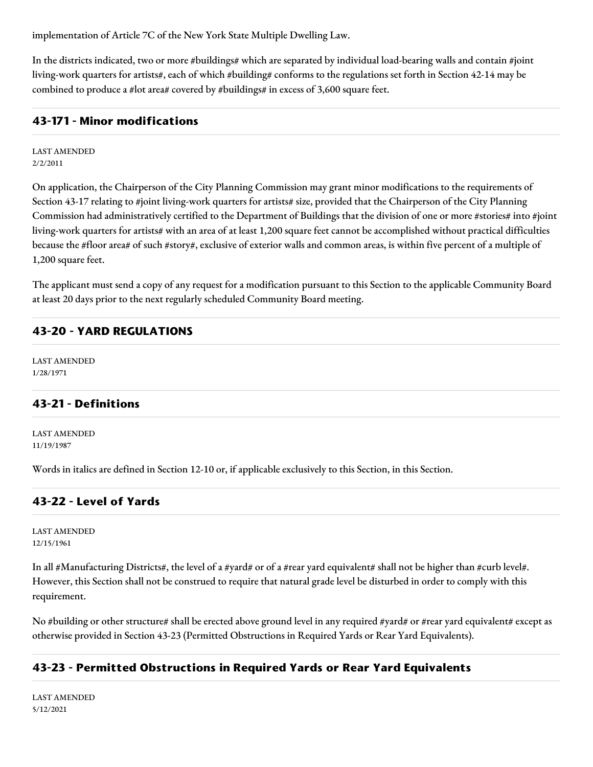implementation of Article 7C of the New York State Multiple Dwelling Law.

In the districts indicated, two or more #buildings# which are separated by individual load-bearing walls and contain #joint living-work quarters for artists#, each of which #building# conforms to the regulations set forth in Section 42-14 may be combined to produce a #lot area# covered by #buildings# in excess of 3,600 square feet.

#### **43-171 - Minor modifications**

LAST AMENDED 2/2/2011

On application, the Chairperson of the City Planning Commission may grant minor modifications to the requirements of Section 43-17 relating to #joint living-work quarters for artists# size, provided that the Chairperson of the City Planning Commission had administratively certified to the Department of Buildings that the division of one or more #stories# into #joint living-work quarters for artists# with an area of at least 1,200 square feet cannot be accomplished without practical difficulties because the #floor area# of such #story#, exclusive of exterior walls and common areas, is within five percent of a multiple of 1,200 square feet.

The applicant must send a copy of any request for a modification pursuant to this Section to the applicable Community Board at least 20 days prior to the next regularly scheduled Community Board meeting.

#### **43-20 - YARD REGULATIONS**

LAST AMENDED 1/28/1971

### **43-21 - Definitions**

LAST AMENDED 11/19/1987

Words in italics are defined in Section 12-10 or, if applicable exclusively to this Section, in this Section.

### **43-22 - Level of Yards**

LAST AMENDED 12/15/1961

In all #Manufacturing Districts#, the level of a #yard# or of a #rear yard equivalent# shall not be higher than #curb level#. However, this Section shall not be construed to require that natural grade level be disturbed in order to comply with this requirement.

No #building or other structure# shall be erected above ground level in any required #yard# or #rear yard equivalent# except as otherwise provided in Section 43-23 (Permitted Obstructions in Required Yards or Rear Yard Equivalents).

# **43-23 - Permitted Obstructions in Required Yards or Rear Yard Equivalents**

LAST AMENDED 5/12/2021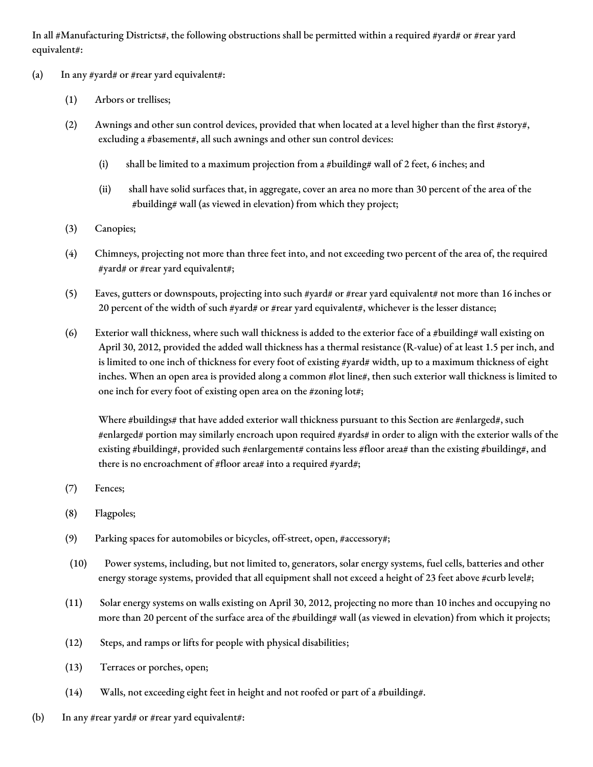In all #Manufacturing Districts#, the following obstructions shall be permitted within a required #yard# or #rear yard equivalent#:

- (a) In any #yard# or #rear yard equivalent#:
	- (1) Arbors or trellises;
	- (2) Awnings and other sun control devices, provided that when located at a level higher than the first #story#, excluding a #basement#, all such awnings and other sun control devices:
		- (i) shall be limited to a maximum projection from a #building# wall of 2 feet, 6 inches; and
		- (ii) shall have solid surfaces that, in aggregate, cover an area no more than 30 percent of the area of the #building# wall (as viewed in elevation) from which they project;
	- (3) Canopies;
	- (4) Chimneys, projecting not more than three feet into, and not exceeding two percent of the area of, the required #yard# or #rear yard equivalent#;
	- (5) Eaves, gutters or downspouts, projecting into such #yard# or #rear yard equivalent# not more than 16 inches or 20 percent of the width of such #yard# or #rear yard equivalent#, whichever is the lesser distance;
	- (6) Exterior wall thickness, where such wall thickness is added to the exterior face of a #building# wall existing on April 30, 2012, provided the added wall thickness has a thermal resistance (R-value) of at least 1.5 per inch, and is limited to one inch of thickness for every foot of existing #yard# width, up to a maximum thickness of eight inches. When an open area is provided along a common #lot line#, then such exterior wall thickness is limited to one inch for every foot of existing open area on the #zoning lot#;

Where #buildings# that have added exterior wall thickness pursuant to this Section are #enlarged#, such #enlarged# portion may similarly encroach upon required #yards# in order to align with the exterior walls of the existing #building#, provided such #enlargement# contains less #floor area# than the existing #building#, and there is no encroachment of #floor area# into a required #yard#;

- (7) Fences;
- (8) Flagpoles;
- (9) Parking spaces for automobiles or bicycles, off-street, open, #accessory#;
- (10) Power systems, including, but not limited to, generators, solar energy systems, fuel cells, batteries and other energy storage systems, provided that all equipment shall not exceed a height of 23 feet above #curb level#;
- (11) Solar energy systems on walls existing on April 30, 2012, projecting no more than 10 inches and occupying no more than 20 percent of the surface area of the #building# wall (as viewed in elevation) from which it projects;
- (12) Steps, and ramps or lifts for people with physical disabilities;
- (13) Terraces or porches, open;
- (14) Walls, not exceeding eight feet in height and not roofed or part of a #building#.
- (b) In any #rear yard# or #rear yard equivalent#: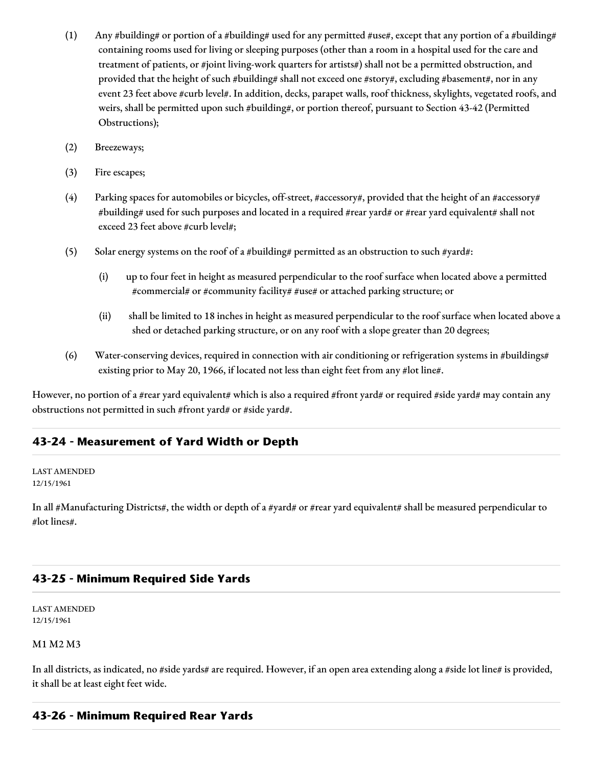- (1) Any #building# or portion of a #building# used for any permitted #use#, except that any portion of a #building# containing rooms used for living or sleeping purposes (other than a room in a hospital used for the care and treatment of patients, or #joint living-work quarters for artists#) shall not be a permitted obstruction, and provided that the height of such #building# shall not exceed one #story#, excluding #basement#, nor in any event 23 feet above #curb level#. In addition, decks, parapet walls, roof thickness, skylights, vegetated roofs, and weirs, shall be permitted upon such #building#, or portion thereof, pursuant to Section 43-42 (Permitted Obstructions);
- (2) Breezeways;
- (3) Fire escapes;
- (4) Parking spaces for automobiles or bicycles, off-street, #accessory#, provided that the height of an #accessory# #building# used for such purposes and located in a required #rear yard# or #rear yard equivalent# shall not exceed 23 feet above #curb level#;
- (5) Solar energy systems on the roof of a #building# permitted as an obstruction to such #yard#:
	- (i) up to four feet in height as measured perpendicular to the roof surface when located above a permitted #commercial# or #community facility# #use# or attached parking structure; or
	- (ii) shall be limited to 18 inches in height as measured perpendicular to the roof surface when located above a shed or detached parking structure, or on any roof with a slope greater than 20 degrees;
- (6) Water-conserving devices, required in connection with air conditioning or refrigeration systems in #buildings# existing prior to May 20, 1966, if located not less than eight feet from any #lot line#.

However, no portion of a #rear yard equivalent# which is also a required #front yard# or required #side yard# may contain any obstructions not permitted in such #front yard# or #side yard#.

# **43-24 - Measurement of Yard Width or Depth**

#### LAST AMENDED 12/15/1961

In all #Manufacturing Districts#, the width or depth of a #yard# or #rear yard equivalent# shall be measured perpendicular to #lot lines#.

### **43-25 - Minimum Required Side Yards**

LAST AMENDED 12/15/1961

#### M1 M2 M3

In all districts, as indicated, no #side yards# are required. However, if an open area extending along a #side lot line# is provided, it shall be at least eight feet wide.

### **43-26 - Minimum Required Rear Yards**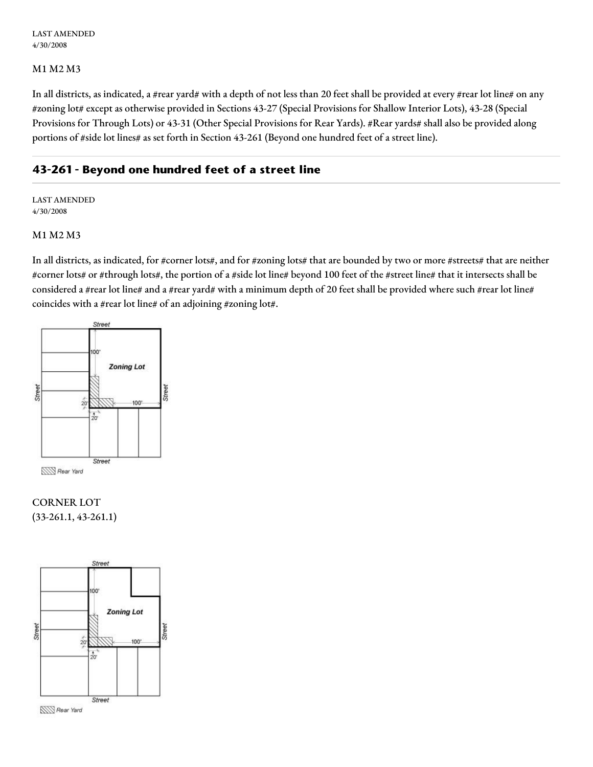#### M1 M2 M3

In all districts, as indicated, a #rear yard# with a depth of not less than 20 feet shall be provided at every #rear lot line# on any #zoning lot# except as otherwise provided in Sections 43-27 (Special Provisions for Shallow Interior Lots), 43-28 (Special Provisions for Through Lots) or 43-31 (Other Special Provisions for Rear Yards). #Rear yards# shall also be provided along portions of #side lot lines# as set forth in Section 43-261 (Beyond one hundred feet of a street line).

# **43-261 - Beyond one hundred feet of a street line**

LAST AMENDED 4/30/2008

#### M1 M2 M3

In all districts, as indicated, for #corner lots#, and for #zoning lots# that are bounded by two or more #streets# that are neither #corner lots# or #through lots#, the portion of a #side lot line# beyond 100 feet of the #street line# that it intersects shall be considered a #rear lot line# and a #rear yard# with a minimum depth of 20 feet shall be provided where such #rear lot line# coincides with a #rear lot line# of an adjoining #zoning lot#.



# CORNER LOT (33-261.1, 43-261.1)



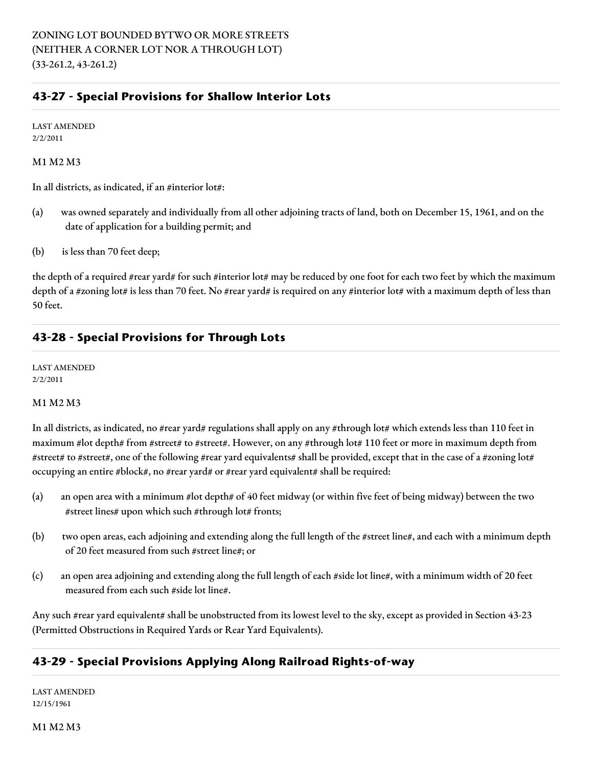# **43-27 - Special Provisions for Shallow Interior Lots**

LAST AMENDED 2/2/2011

#### M1 M2 M3

In all districts, as indicated, if an #interior lot#:

- (a) was owned separately and individually from all other adjoining tracts of land, both on December 15, 1961, and on the date of application for a building permit; and
- (b) is less than 70 feet deep;

the depth of a required #rear yard# for such #interior lot# may be reduced by one foot for each two feet by which the maximum depth of a #zoning lot# is less than 70 feet. No #rear yard# is required on any #interior lot# with a maximum depth of less than 50 feet.

# **43-28 - Special Provisions for Through Lots**

LAST AMENDED 2/2/2011

#### M1 M2 M3

In all districts, as indicated, no #rear yard# regulations shall apply on any #through lot# which extends less than 110 feet in maximum #lot depth# from #street# to #street#. However, on any #through lot# 110 feet or more in maximum depth from #street# to #street#, one of the following #rear yard equivalents# shall be provided, except that in the case of a #zoning lot# occupying an entire #block#, no #rear yard# or #rear yard equivalent# shall be required:

- (a) an open area with a minimum #lot depth# of 40 feet midway (or within five feet of being midway) between the two #street lines# upon which such #through lot# fronts;
- (b) two open areas, each adjoining and extending along the full length of the #street line#, and each with a minimum depth of 20 feet measured from such #street line#; or
- (c) an open area adjoining and extending along the full length of each #side lot line#, with a minimum width of 20 feet measured from each such #side lot line#.

Any such #rear yard equivalent# shall be unobstructed from its lowest level to the sky, except as provided in Section 43-23 (Permitted Obstructions in Required Yards or Rear Yard Equivalents).

# **43-29 - Special Provisions Applying Along Railroad Rights-of-way**

LAST AMENDED 12/15/1961

M1 M2 M3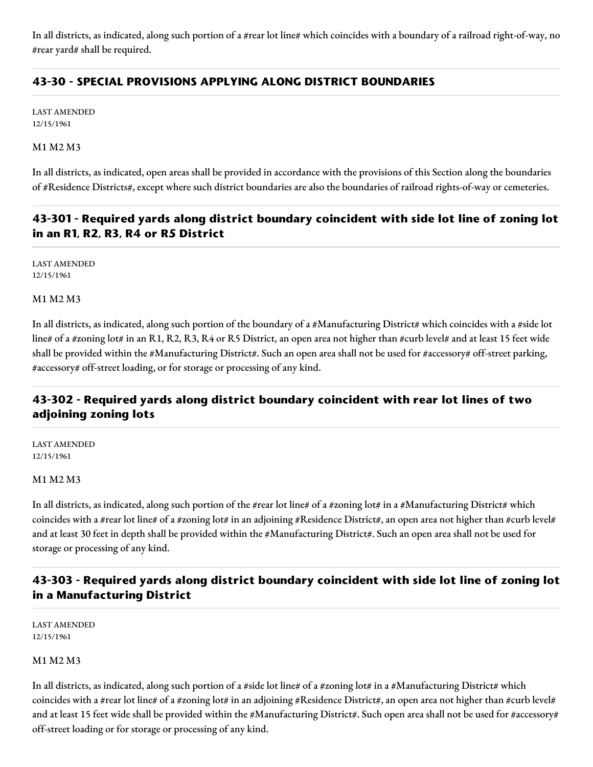In all districts, as indicated, along such portion of a #rear lot line# which coincides with a boundary of a railroad right-of-way, no #rear yard# shall be required.

# **43-30 - SPECIAL PROVISIONS APPLYING ALONG DISTRICT BOUNDARIES**

LAST AMENDED 12/15/1961

M1 M2 M3

In all districts, as indicated, open areas shall be provided in accordance with the provisions of this Section along the boundaries of #Residence Districts#, except where such district boundaries are also the boundaries of railroad rights-of-way or cemeteries.

# **43-301 - Required yards along district boundary coincident with side lot line of zoning lot in an R1, R2, R3, R4 or R5 District**

LAST AMENDED 12/15/1961

M1 M2 M3

In all districts, as indicated, along such portion of the boundary of a #Manufacturing District# which coincides with a #side lot line# of a #zoning lot# in an R1, R2, R3, R4 or R5 District, an open area not higher than #curb level# and at least 15 feet wide shall be provided within the #Manufacturing District#. Such an open area shall not be used for #accessory# off-street parking, #accessory# off-street loading, or for storage or processing of any kind.

# **43-302 - Required yards along district boundary coincident with rear lot lines of two adjoining zoning lots**

LAST AMENDED 12/15/1961

#### M1 M2 M3

In all districts, as indicated, along such portion of the #rear lot line# of a #zoning lot# in a #Manufacturing District# which coincides with a #rear lot line# of a #zoning lot# in an adjoining #Residence District#, an open area not higher than #curb level# and at least 30 feet in depth shall be provided within the #Manufacturing District#. Such an open area shall not be used for storage or processing of any kind.

# **43-303 - Required yards along district boundary coincident with side lot line of zoning lot in a Manufacturing District**

LAST AMENDED 12/15/1961

#### M1 M2 M3

In all districts, as indicated, along such portion of a #side lot line# of a #zoning lot# in a #Manufacturing District# which coincides with a #rear lot line# of a #zoning lot# in an adjoining #Residence District#, an open area not higher than #curb level# and at least 15 feet wide shall be provided within the #Manufacturing District#. Such open area shall not be used for #accessory# off-street loading or for storage or processing of any kind.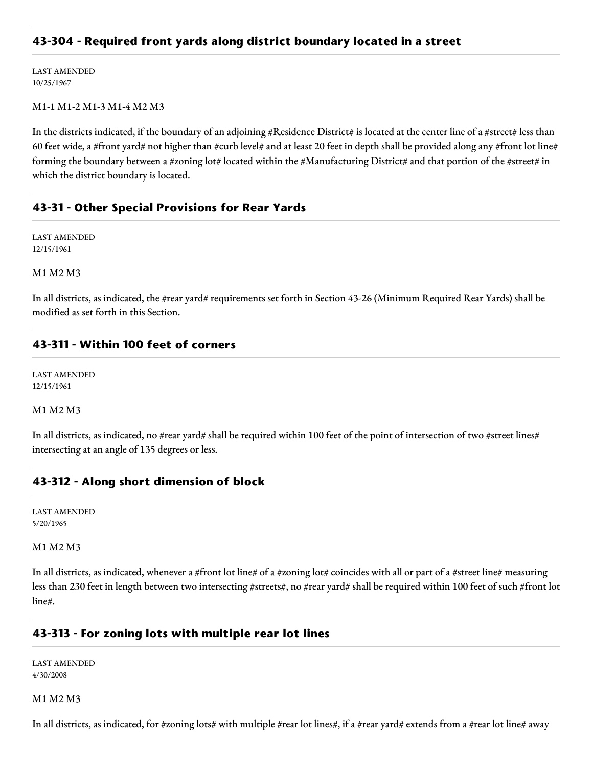### **43-304 - Required front yards along district boundary located in a street**

LAST AMENDED 10/25/1967

#### M1-1 M1-2 M1-3 M1-4 M2 M3

In the districts indicated, if the boundary of an adjoining #Residence District# is located at the center line of a #street# less than 60 feet wide, a #front yard# not higher than #curb level# and at least 20 feet in depth shall be provided along any #front lot line# forming the boundary between a #zoning lot# located within the #Manufacturing District# and that portion of the #street# in which the district boundary is located.

# **43-31 - Other Special Provisions for Rear Yards**

LAST AMENDED 12/15/1961

M1 M2 M3

In all districts, as indicated, the #rear yard# requirements set forth in Section 43-26 (Minimum Required Rear Yards) shall be modified as set forth in this Section.

#### **43-311 - Within 100 feet of corners**

LAST AMENDED 12/15/1961

#### M1 M2 M3

In all districts, as indicated, no #rear yard# shall be required within 100 feet of the point of intersection of two #street lines# intersecting at an angle of 135 degrees or less.

### **43-312 - Along short dimension of block**

LAST AMENDED 5/20/1965

#### M1 M2 M3

In all districts, as indicated, whenever a #front lot line# of a #zoning lot# coincides with all or part of a #street line# measuring less than 230 feet in length between two intersecting #streets#, no #rear yard# shall be required within 100 feet of such #front lot line#.

#### **43-313 - For zoning lots with multiple rear lot lines**

LAST AMENDED 4/30/2008

#### M1 M2 M3

In all districts, as indicated, for #zoning lots# with multiple #rear lot lines#, if a #rear yard# extends from a #rear lot line# away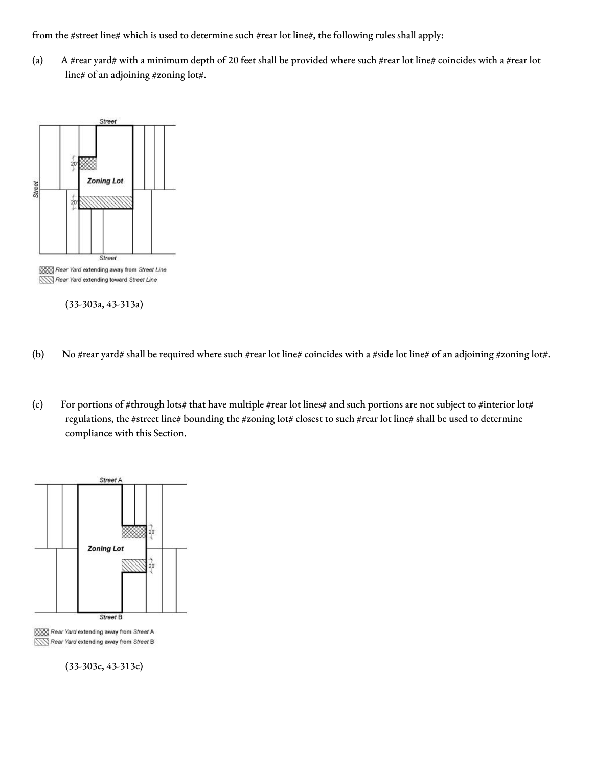from the #street line# which is used to determine such #rear lot line#, the following rules shall apply:

(a) A #rear yard# with a minimum depth of 20 feet shall be provided where such #rear lot line# coincides with a #rear lot line# of an adjoining #zoning lot#.



(33-303a, 43-313a)

- (b) No #rear yard# shall be required where such #rear lot line# coincides with a #side lot line# of an adjoining #zoning lot#.
- (c) For portions of #through lots# that have multiple #rear lot lines# and such portions are not subject to #interior lot# regulations, the #street line# bounding the #zoning lot# closest to such #rear lot line# shall be used to determine compliance with this Section.



XXX Rear Yard extending away from Street A Rear Yard extending away from Street B

(33-303c, 43-313c)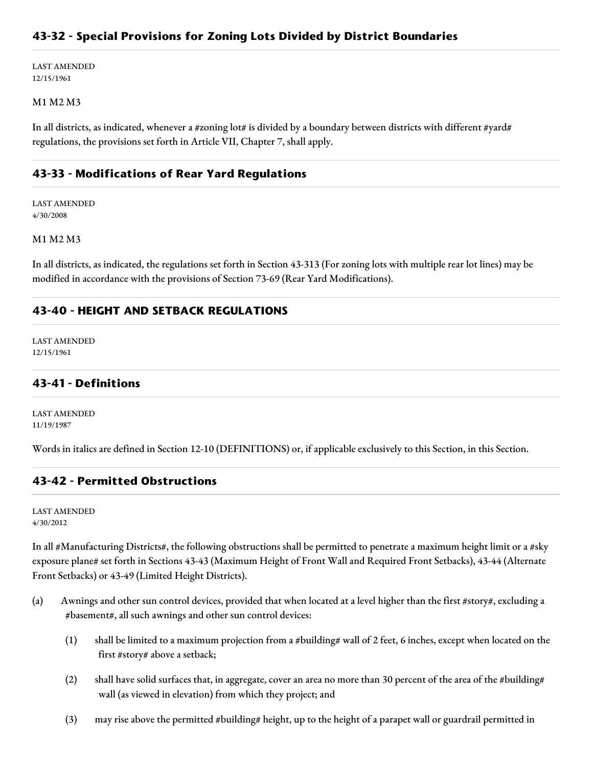# **43-32 - Special Provisions for Zoning Lots Divided by District Boundaries**

LAST AMENDED 12/15/1961

#### M1 M2 M3

In all districts, as indicated, whenever a #zoning lot# is divided by a boundary between districts with different #yard# regulations, the provisions set forth in Article VII, Chapter 7, shall apply.

### **43-33 - Modifications of Rear Yard Regulations**

LAST AMENDED 4/30/2008

M1 M2 M3

In all districts, as indicated, the regulations set forth in Section 43-313 (For zoning lots with multiple rear lot lines) may be modified in accordance with the provisions of Section 73-69 (Rear Yard Modifications).

### **43-40 - HEIGHT AND SETBACK REGULATIONS**

LAST AMENDED 12/15/1961

### **43-41 - Definitions**

LAST AMENDED 11/19/1987

Words in italics are defined in Section 12-10 (DEFINITIONS) or, if applicable exclusively to this Section, in this Section.

#### **43-42 - Permitted Obstructions**

LAST AMENDED 4/30/2012

In all #Manufacturing Districts#, the following obstructions shall be permitted to penetrate a maximum height limit or a #sky exposure plane# set forth in Sections 43-43 (Maximum Height of Front Wall and Required Front Setbacks), 43-44 (Alternate Front Setbacks) or 43-49 (Limited Height Districts).

- (a) Awnings and other sun control devices, provided that when located at a level higher than the first #story#, excluding a #basement#, all such awnings and other sun control devices:
	- (1) shall be limited to a maximum projection from a #building# wall of 2 feet, 6 inches, except when located on the first #story# above a setback;
	- (2) shall have solid surfaces that, in aggregate, cover an area no more than 30 percent of the area of the #building# wall (as viewed in elevation) from which they project; and
	- (3) may rise above the permitted #building# height, up to the height of a parapet wall or guardrail permitted in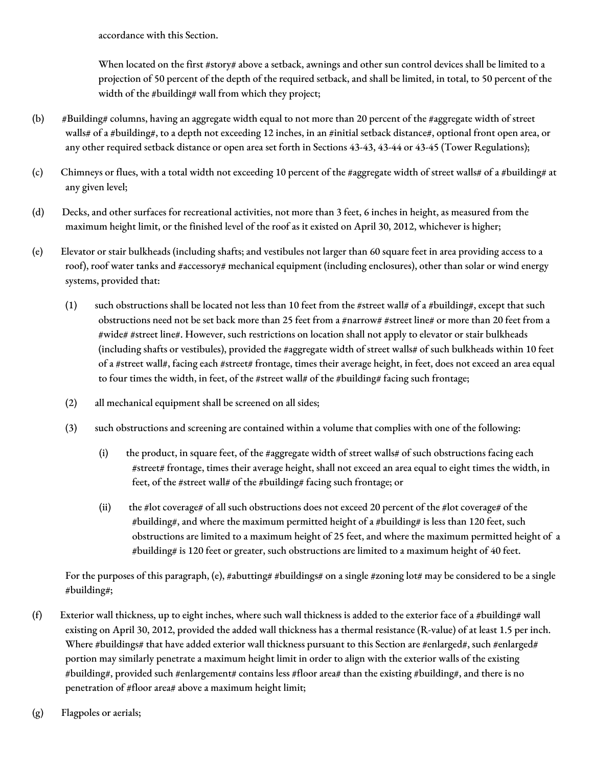accordance with this Section.

When located on the first #story# above a setback, awnings and other sun control devices shall be limited to a projection of 50 percent of the depth of the required setback, and shall be limited, in total, to 50 percent of the width of the #building# wall from which they project;

- (b) #Building# columns, having an aggregate width equal to not more than 20 percent of the #aggregate width of street walls# of a #building#, to a depth not exceeding 12 inches, in an #initial setback distance#, optional front open area, or any other required setback distance or open area set forth in Sections 43-43, 43-44 or 43-45 (Tower Regulations);
- (c) Chimneys or flues, with a total width not exceeding 10 percent of the #aggregate width of street walls# of a #building# at any given level;
- (d) Decks, and other surfaces for recreational activities, not more than 3 feet, 6 inches in height, as measured from the maximum height limit, or the finished level of the roof as it existed on April 30, 2012, whichever is higher;
- (e) Elevator or stair bulkheads (including shafts; and vestibules not larger than 60 square feet in area providing access to a roof), roof water tanks and #accessory# mechanical equipment (including enclosures), other than solar or wind energy systems, provided that:
	- (1) such obstructions shall be located not less than 10 feet from the #street wall# of a #building#, except that such obstructions need not be set back more than 25 feet from a #narrow# #street line# or more than 20 feet from a #wide# #street line#. However, such restrictions on location shall not apply to elevator or stair bulkheads (including shafts or vestibules), provided the #aggregate width of street walls# of such bulkheads within 10 feet of a #street wall#, facing each #street# frontage, times their average height, in feet, does not exceed an area equal to four times the width, in feet, of the #street wall# of the #building# facing such frontage;
	- (2) all mechanical equipment shall be screened on all sides;
	- (3) such obstructions and screening are contained within a volume that complies with one of the following:
		- (i) the product, in square feet, of the #aggregate width of street walls# of such obstructions facing each #street# frontage, times their average height, shall not exceed an area equal to eight times the width, in feet, of the #street wall# of the #building# facing such frontage; or
		- (ii) the #lot coverage# of all such obstructions does not exceed 20 percent of the #lot coverage# of the #building#, and where the maximum permitted height of a #building# is less than 120 feet, such obstructions are limited to a maximum height of 25 feet, and where the maximum permitted height of a #building# is 120 feet or greater, such obstructions are limited to a maximum height of 40 feet.

For the purposes of this paragraph, (e), #abutting# #buildings# on a single #zoning lot# may be considered to be a single #building#;

- (f) Exterior wall thickness, up to eight inches, where such wall thickness is added to the exterior face of a #building# wall existing on April 30, 2012, provided the added wall thickness has a thermal resistance (R-value) of at least 1.5 per inch. Where #buildings# that have added exterior wall thickness pursuant to this Section are #enlarged#, such #enlarged# portion may similarly penetrate a maximum height limit in order to align with the exterior walls of the existing #building#, provided such #enlargement# contains less #floor area# than the existing #building#, and there is no penetration of #floor area# above a maximum height limit;
- (g) Flagpoles or aerials;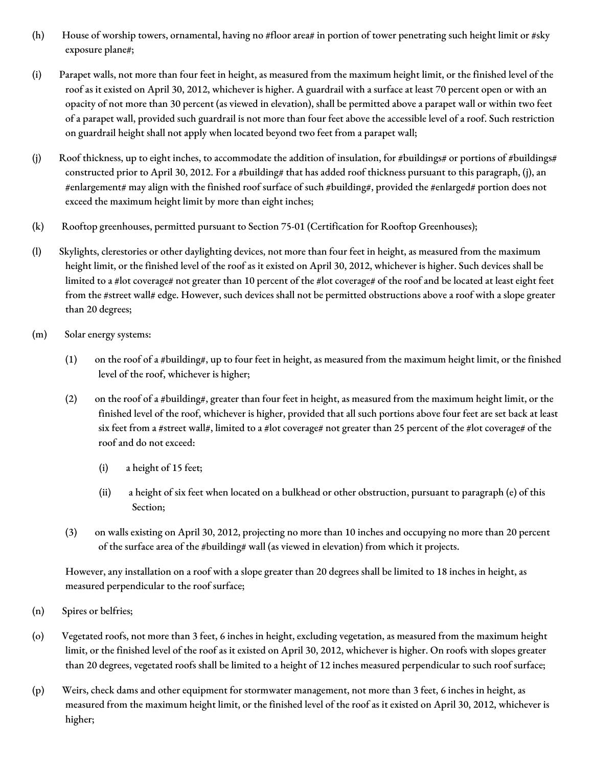- (h) House of worship towers, ornamental, having no #floor area# in portion of tower penetrating such height limit or #sky exposure plane#;
- (i) Parapet walls, not more than four feet in height, as measured from the maximum height limit, or the finished level of the roof as it existed on April 30, 2012, whichever is higher. A guardrail with a surface at least 70 percent open or with an opacity of not more than 30 percent (as viewed in elevation), shall be permitted above a parapet wall or within two feet of a parapet wall, provided such guardrail is not more than four feet above the accessible level of a roof. Such restriction on guardrail height shall not apply when located beyond two feet from a parapet wall;
- (j) Roof thickness, up to eight inches, to accommodate the addition of insulation, for #buildings# or portions of #buildings# constructed prior to April 30, 2012. For a #building# that has added roof thickness pursuant to this paragraph, (j), an #enlargement# may align with the finished roof surface of such #building#, provided the #enlarged# portion does not exceed the maximum height limit by more than eight inches;
- (k) Rooftop greenhouses, permitted pursuant to Section 75-01 (Certification for Rooftop Greenhouses);
- (l) Skylights, clerestories or other daylighting devices, not more than four feet in height, as measured from the maximum height limit, or the finished level of the roof as it existed on April 30, 2012, whichever is higher. Such devices shall be limited to a #lot coverage# not greater than 10 percent of the #lot coverage# of the roof and be located at least eight feet from the #street wall# edge. However, such devices shall not be permitted obstructions above a roof with a slope greater than 20 degrees;
- (m) Solar energy systems:
	- (1) on the roof of a #building#, up to four feet in height, as measured from the maximum height limit, or the finished level of the roof, whichever is higher;
	- (2) on the roof of a #building#, greater than four feet in height, as measured from the maximum height limit, or the finished level of the roof, whichever is higher, provided that all such portions above four feet are set back at least six feet from a #street wall#, limited to a #lot coverage# not greater than 25 percent of the #lot coverage# of the roof and do not exceed:
		- (i) a height of 15 feet;
		- (ii) a height of six feet when located on a bulkhead or other obstruction, pursuant to paragraph (e) of this Section;
	- (3) on walls existing on April 30, 2012, projecting no more than 10 inches and occupying no more than 20 percent of the surface area of the #building# wall (as viewed in elevation) from which it projects.

However, any installation on a roof with a slope greater than 20 degrees shall be limited to 18 inches in height, as measured perpendicular to the roof surface;

- (n) Spires or belfries;
- (o) Vegetated roofs, not more than 3 feet, 6 inches in height, excluding vegetation, as measured from the maximum height limit, or the finished level of the roof as it existed on April 30, 2012, whichever is higher. On roofs with slopes greater than 20 degrees, vegetated roofs shall be limited to a height of 12 inches measured perpendicular to such roof surface;
- (p) Weirs, check dams and other equipment for stormwater management, not more than 3 feet, 6 inches in height, as measured from the maximum height limit, or the finished level of the roof as it existed on April 30, 2012, whichever is higher;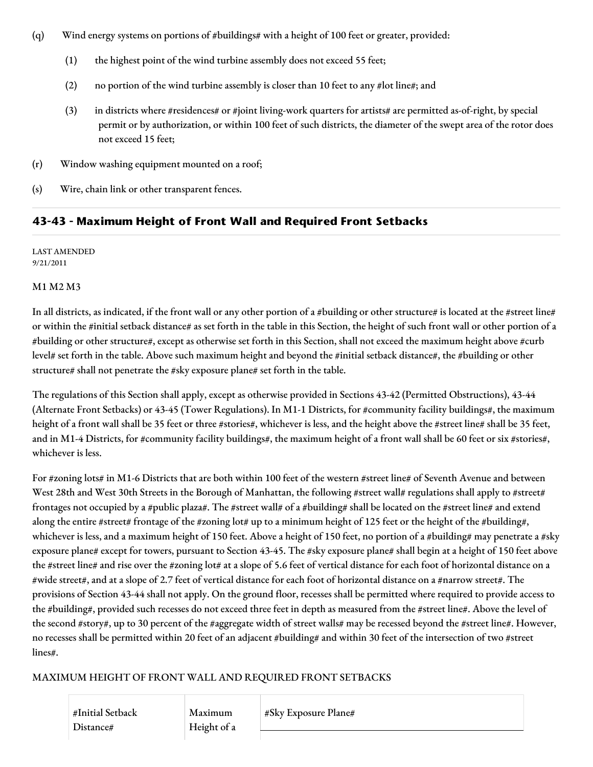- (q) Wind energy systems on portions of #buildings# with a height of 100 feet or greater, provided:
	- (1) the highest point of the wind turbine assembly does not exceed 55 feet;
	- (2) no portion of the wind turbine assembly is closer than 10 feet to any #lot line#; and
	- (3) in districts where #residences# or #joint living-work quarters for artists# are permitted as-of-right, by special permit or by authorization, or within 100 feet of such districts, the diameter of the swept area of the rotor does not exceed 15 feet;
- (r) Window washing equipment mounted on a roof;
- (s) Wire, chain link or other transparent fences.

# **43-43 - Maximum Height of Front Wall and Required Front Setbacks**

LAST AMENDED 9/21/2011

### M1 M2 M3

In all districts, as indicated, if the front wall or any other portion of a #building or other structure# is located at the #street line# or within the #initial setback distance# as set forth in the table in this Section, the height of such front wall or other portion of a #building or other structure#, except as otherwise set forth in this Section, shall not exceed the maximum height above #curb level# set forth in the table. Above such maximum height and beyond the #initial setback distance#, the #building or other structure# shall not penetrate the #sky exposure plane# set forth in the table.

The regulations of this Section shall apply, except as otherwise provided in Sections 43-42 (Permitted Obstructions), 43-44 (Alternate Front Setbacks) or 43-45 (Tower Regulations). In M1-1 Districts, for #community facility buildings#, the maximum height of a front wall shall be 35 feet or three #stories#, whichever is less, and the height above the #street line# shall be 35 feet, and in M1-4 Districts, for #community facility buildings#, the maximum height of a front wall shall be 60 feet or six #stories#, whichever is less.

For #zoning lots# in M1-6 Districts that are both within 100 feet of the western #street line# of Seventh Avenue and between West 28th and West 30th Streets in the Borough of Manhattan, the following #street wall# regulations shall apply to #street# frontages not occupied by a #public plaza#. The #street wall# of a #building# shall be located on the #street line# and extend along the entire #street# frontage of the #zoning lot# up to a minimum height of 125 feet or the height of the #building#, whichever is less, and a maximum height of 150 feet. Above a height of 150 feet, no portion of a #building# may penetrate a #sky exposure plane# except for towers, pursuant to Section 43-45. The #sky exposure plane# shall begin at a height of 150 feet above the #street line# and rise over the #zoning lot# at a slope of 5.6 feet of vertical distance for each foot of horizontal distance on a #wide street#, and at a slope of 2.7 feet of vertical distance for each foot of horizontal distance on a #narrow street#. The provisions of Section 43-44 shall not apply. On the ground floor, recesses shall be permitted where required to provide access to the #building#, provided such recesses do not exceed three feet in depth as measured from the #street line#. Above the level of the second #story#, up to 30 percent of the #aggregate width of street walls# may be recessed beyond the #street line#. However, no recesses shall be permitted within 20 feet of an adjacent #building# and within 30 feet of the intersection of two #street lines#.

### MAXIMUM HEIGHT OF FRONT WALL AND REQUIRED FRONT SETBACKS

#Initial Setback Distance#

Maximum Height of a #Sky Exposure Plane#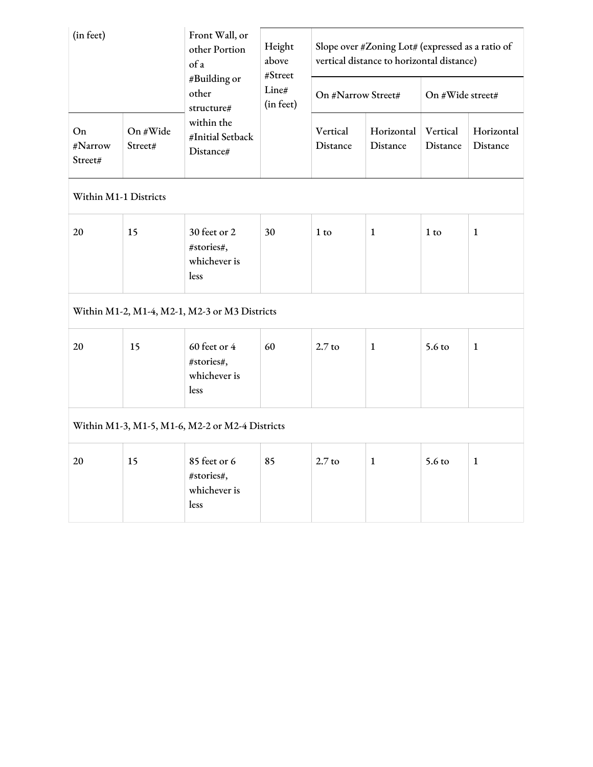| (in feet)                |                     | Front Wall, or<br>other Portion<br>of a            | Height<br>above<br>#Street<br>Line#<br>(in feet) | Slope over #Zoning Lot# (expressed as a ratio of<br>vertical distance to horizontal distance) |                        |                      |                        |
|--------------------------|---------------------|----------------------------------------------------|--------------------------------------------------|-----------------------------------------------------------------------------------------------|------------------------|----------------------|------------------------|
|                          |                     | #Building or<br>other<br>structure#                |                                                  | On #Narrow Street#                                                                            |                        | On #Wide street#     |                        |
| On<br>#Narrow<br>Street# | On #Wide<br>Street# | within the<br>#Initial Setback<br>Distance#        |                                                  | Vertical<br>Distance                                                                          | Horizontal<br>Distance | Vertical<br>Distance | Horizontal<br>Distance |
| Within M1-1 Districts    |                     |                                                    |                                                  |                                                                                               |                        |                      |                        |
| 20                       | 15                  | 30 feet or 2<br>#stories#,<br>whichever is<br>less | 30                                               | $1$ to                                                                                        | $\mathbf{1}$           | $1$ to               | 1                      |
|                          |                     | Within M1-2, M1-4, M2-1, M2-3 or M3 Districts      |                                                  |                                                                                               |                        |                      |                        |
| 20                       | 15                  | 60 feet or 4<br>#stories#,<br>whichever is<br>less | 60                                               | $2.7$ to                                                                                      | $\mathbf{1}$           | $5.6 \text{ to}$     | $\mathbf{1}$           |
|                          |                     | Within M1-3, M1-5, M1-6, M2-2 or M2-4 Districts    |                                                  |                                                                                               |                        |                      |                        |
| 20                       | 15                  | 85 feet or 6<br>#stories#,<br>whichever is<br>less | 85                                               | $2.7$ to                                                                                      | $\mathbf{1}$           | $5.6 \text{ to}$     | $\mathbf{1}$           |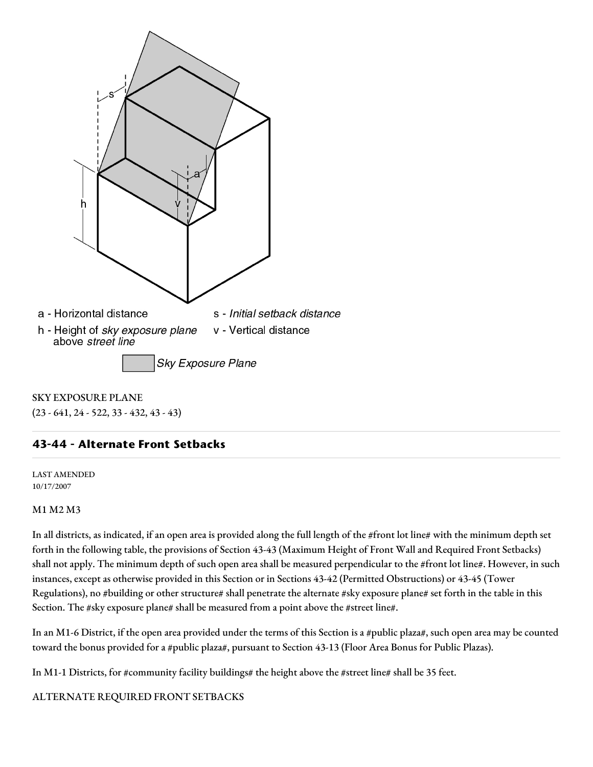

SKY EXPOSURE PLANE (23 - 641, 24 - 522, 33 - 432, 43 - 43)

# **43-44 - Alternate Front Setbacks**

LAST AMENDED 10/17/2007

#### M1 M2 M3

In all districts, as indicated, if an open area is provided along the full length of the #front lot line# with the minimum depth set forth in the following table, the provisions of Section 43-43 (Maximum Height of Front Wall and Required Front Setbacks) shall not apply. The minimum depth of such open area shall be measured perpendicular to the #front lot line#. However, in such instances, except as otherwise provided in this Section or in Sections 43-42 (Permitted Obstructions) or 43-45 (Tower Regulations), no #building or other structure# shall penetrate the alternate #sky exposure plane# set forth in the table in this Section. The #sky exposure plane# shall be measured from a point above the #street line#.

In an M1-6 District, if the open area provided under the terms of this Section is a #public plaza#, such open area may be counted toward the bonus provided for a #public plaza#, pursuant to Section 43-13 (Floor Area Bonus for Public Plazas).

In M1-1 Districts, for #community facility buildings# the height above the #street line# shall be 35 feet.

### ALTERNATE REQUIRED FRONT SETBACKS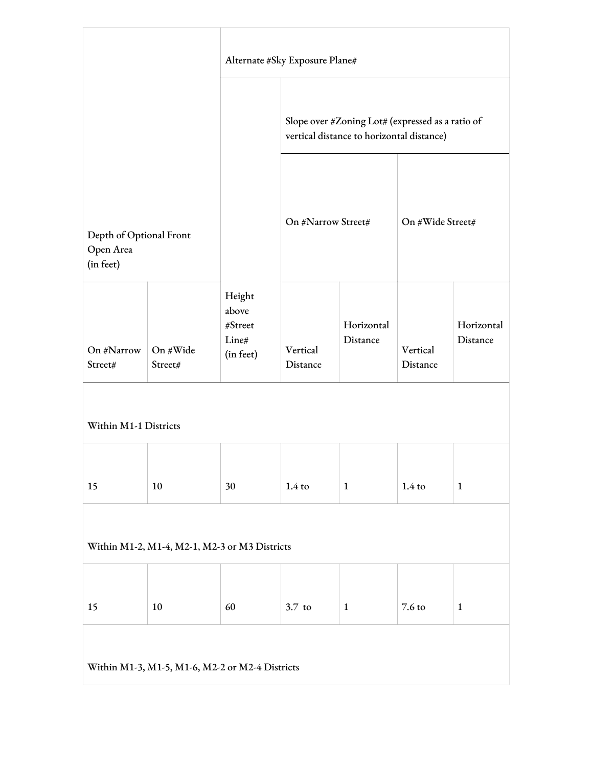|                                                   |                     | Alternate #Sky Exposure Plane#                   |                                                                                               |                        |                      |                        |
|---------------------------------------------------|---------------------|--------------------------------------------------|-----------------------------------------------------------------------------------------------|------------------------|----------------------|------------------------|
|                                                   |                     |                                                  | Slope over #Zoning Lot# (expressed as a ratio of<br>vertical distance to horizontal distance) |                        |                      |                        |
| Depth of Optional Front<br>Open Area<br>(in feet) |                     |                                                  | On #Narrow Street#                                                                            |                        | On #Wide Street#     |                        |
| On #Narrow<br>Street#                             | On #Wide<br>Street# | Height<br>above<br>#Street<br>Line#<br>(in feet) | Vertical<br>Distance                                                                          | Horizontal<br>Distance | Vertical<br>Distance | Horizontal<br>Distance |
| Within M1-1 Districts                             |                     |                                                  |                                                                                               |                        |                      |                        |
| 15                                                | 10                  | 30                                               | $1.4 \text{ to}$                                                                              | $\mathbf{1}$           | $1.4 \text{ to}$     | $\mathbf{1}$           |
| Within M1-2, M1-4, M2-1, M2-3 or M3 Districts     |                     |                                                  |                                                                                               |                        |                      |                        |
| 15                                                | 10                  | 60                                               | $3.7$ to                                                                                      | $\mathbf{1}$           | 7.6 to               | $\mathbf{1}$           |
| Within M1-3, M1-5, M1-6, M2-2 or M2-4 Districts   |                     |                                                  |                                                                                               |                        |                      |                        |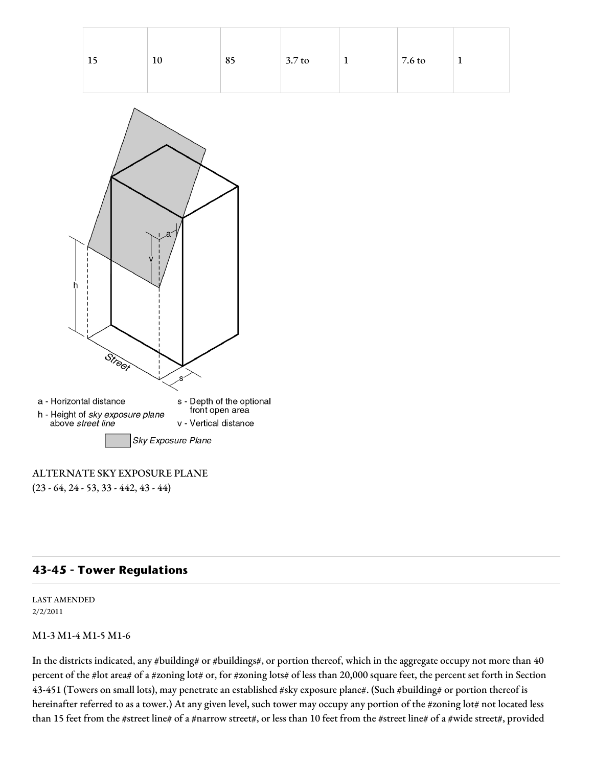| -15 | 10 | 85 | $3.7 \text{ to}$ | 7.6 to | $\overline{\phantom{a}}$ |
|-----|----|----|------------------|--------|--------------------------|
|     |    |    |                  |        |                          |



# ALTERNATE SKY EXPOSURE PLANE

 $(23 - 64, 24 - 53, 33 - 442, 43 - 44)$ 

# **43-45 - Tower Regulations**

LAST AMENDED 2/2/2011

#### M1-3 M1-4 M1-5 M1-6

In the districts indicated, any #building# or #buildings#, or portion thereof, which in the aggregate occupy not more than 40 percent of the #lot area# of a #zoning lot# or, for #zoning lots# of less than 20,000 square feet, the percent set forth in Section 43-451 (Towers on small lots), may penetrate an established #sky exposure plane#. (Such #building# or portion thereof is hereinafter referred to as a tower.) At any given level, such tower may occupy any portion of the #zoning lot# not located less than 15 feet from the #street line# of a #narrow street#, or less than 10 feet from the #street line# of a #wide street#, provided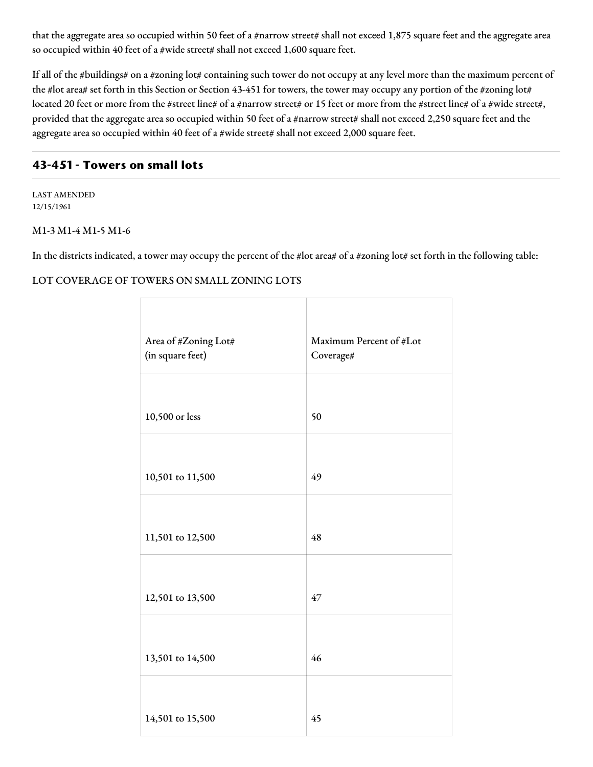that the aggregate area so occupied within 50 feet of a #narrow street# shall not exceed 1,875 square feet and the aggregate area so occupied within 40 feet of a #wide street# shall not exceed 1,600 square feet.

If all of the #buildings# on a #zoning lot# containing such tower do not occupy at any level more than the maximum percent of the #lot area# set forth in this Section or Section 43-451 for towers, the tower may occupy any portion of the #zoning lot# located 20 feet or more from the #street line# of a #narrow street# or 15 feet or more from the #street line# of a #wide street#, provided that the aggregate area so occupied within 50 feet of a #narrow street# shall not exceed 2,250 square feet and the aggregate area so occupied within 40 feet of a #wide street# shall not exceed 2,000 square feet.

# **43-451 - Towers on small lots**

LAST AMENDED 12/15/1961

#### M1-3 M1-4 M1-5 M1-6

In the districts indicated, a tower may occupy the percent of the #lot area# of a #zoning lot# set forth in the following table:

### LOT COVERAGE OF TOWERS ON SMALL ZONING LOTS

| Area of #Zoning Lot# | Maximum Percent of #Lot |
|----------------------|-------------------------|
| (in square feet)     | Coverage#               |
|                      |                         |
|                      |                         |
| 10,500 or less       | 50                      |
|                      |                         |
|                      |                         |
| 10,501 to 11,500     | 49                      |
|                      |                         |
|                      |                         |
| 11,501 to 12,500     | 48                      |
|                      |                         |
|                      |                         |
| 12,501 to 13,500     | 47                      |
|                      |                         |
|                      |                         |
| 13,501 to 14,500     | 46                      |
|                      |                         |
|                      |                         |
| 14,501 to 15,500     | 45                      |
|                      |                         |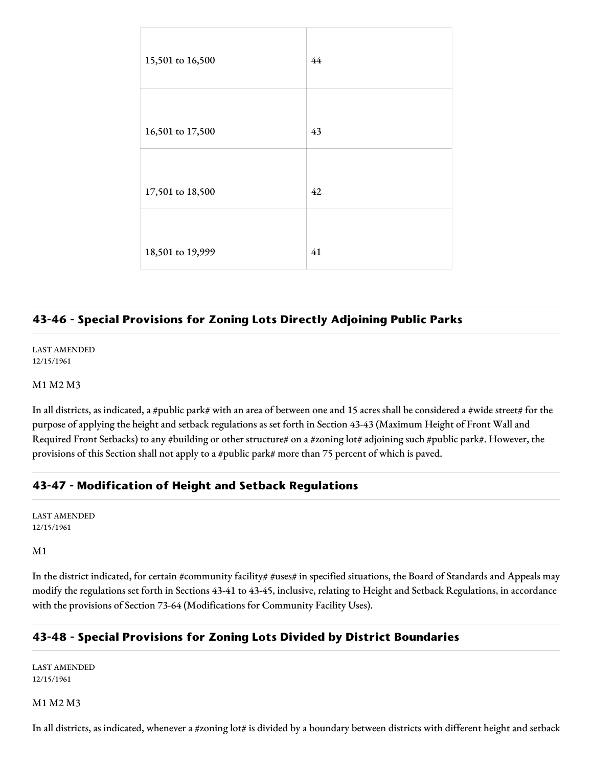| 15,501 to 16,500 | 44 |
|------------------|----|
|                  |    |
| 16,501 to 17,500 | 43 |
|                  |    |
| 17,501 to 18,500 | 42 |
|                  |    |
| 18,501 to 19,999 | 41 |

# **43-46 - Special Provisions for Zoning Lots Directly Adjoining Public Parks**

LAST AMENDED 12/15/1961

M1 M2 M3

In all districts, as indicated, a #public park# with an area of between one and 15 acres shall be considered a #wide street# for the purpose of applying the height and setback regulations as set forth in Section 43-43 (Maximum Height of Front Wall and Required Front Setbacks) to any #building or other structure# on a #zoning lot# adjoining such #public park#. However, the provisions of this Section shall not apply to a #public park# more than 75 percent of which is paved.

# **43-47 - Modification of Height and Setback Regulations**

LAST AMENDED 12/15/1961

#### M1

In the district indicated, for certain #community facility# #uses# in specified situations, the Board of Standards and Appeals may modify the regulations set forth in Sections 43-41 to 43-45, inclusive, relating to Height and Setback Regulations, in accordance with the provisions of Section 73-64 (Modifications for Community Facility Uses).

# **43-48 - Special Provisions for Zoning Lots Divided by District Boundaries**

LAST AMENDED 12/15/1961

#### M1 M2 M3

In all districts, as indicated, whenever a #zoning lot# is divided by a boundary between districts with different height and setback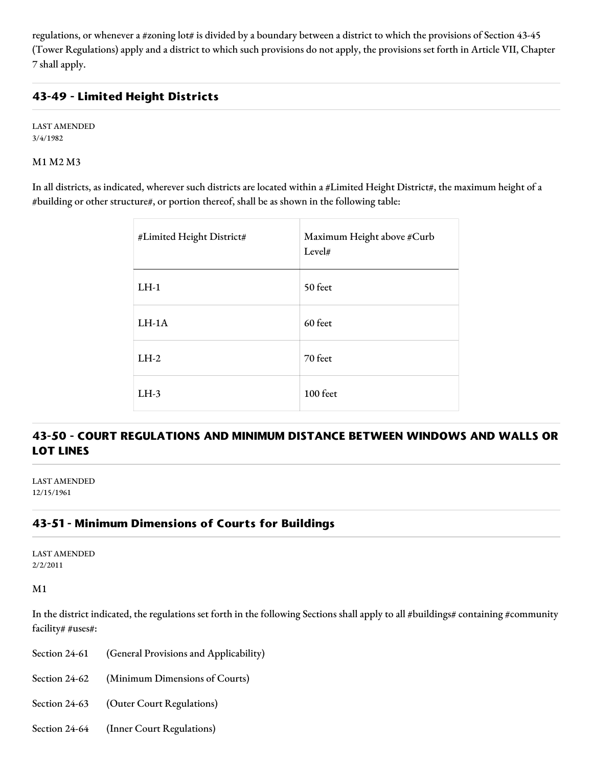regulations, or whenever a #zoning lot# is divided by a boundary between a district to which the provisions of Section 43-45 (Tower Regulations) apply and a district to which such provisions do not apply, the provisions set forth in Article VII, Chapter 7 shall apply.

# **43-49 - Limited Height Districts**

LAST AMENDED 3/4/1982

M1 M2 M3

In all districts, as indicated, wherever such districts are located within a #Limited Height District#, the maximum height of a #building or other structure#, or portion thereof, shall be as shown in the following table:

| #Limited Height District# | Maximum Height above #Curb<br>Level# |
|---------------------------|--------------------------------------|
| $LH-1$                    | 50 feet                              |
| $LH-1A$                   | 60 feet                              |
| $LH-2$                    | 70 feet                              |
| $LH-3$                    | 100 feet                             |

# **43-50 - COURT REGULATIONS AND MINIMUM DISTANCE BETWEEN WINDOWS AND WALLS OR LOT LINES**

LAST AMENDED 12/15/1961

# **43-51 - Minimum Dimensions of Courts for Buildings**

LAST AMENDED 2/2/2011

M1

In the district indicated, the regulations set forth in the following Sections shall apply to all #buildings# containing #community facility# #uses#:

Section 24-61 (General Provisions and Applicability)

Section 24-62 (Minimum Dimensions of Courts)

Section 24-63 (Outer Court Regulations)

Section 24-64 (Inner Court Regulations)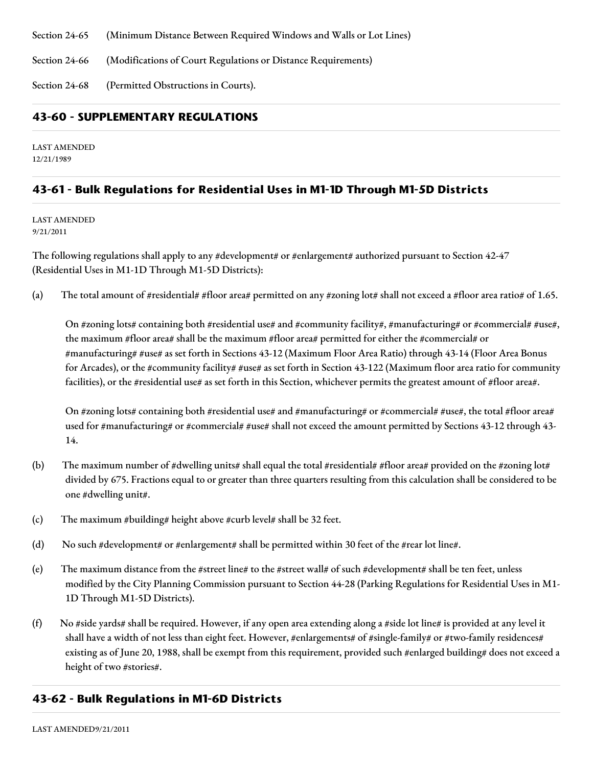Section 24-65 (Minimum Distance Between Required Windows and Walls or Lot Lines)

Section 24-66 (Modifications of Court Regulations or Distance Requirements)

Section 24-68 (Permitted Obstructions in Courts).

# **43-60 - SUPPLEMENTARY REGULATIONS**

LAST AMENDED 12/21/1989

# **43-61 - Bulk Regulations for Residential Uses in M1-1D Through M1-5D Districts**

LAST AMENDED 9/21/2011

The following regulations shall apply to any #development# or #enlargement# authorized pursuant to Section 42-47 (Residential Uses in M1-1D Through M1-5D Districts):

(a) The total amount of #residential# #floor area# permitted on any #zoning lot# shall not exceed a #floor area ratio# of 1.65.

On #zoning lots# containing both #residential use# and #community facility#, #manufacturing# or #commercial# #use#, the maximum #floor area# shall be the maximum #floor area# permitted for either the #commercial# or #manufacturing# #use# as set forth in Sections 43-12 (Maximum Floor Area Ratio) through 43-14 (Floor Area Bonus for Arcades), or the #community facility# #use# as set forth in Section 43-122 (Maximum floor area ratio for community facilities), or the #residential use# as set forth in this Section, whichever permits the greatest amount of #floor area#.

On #zoning lots# containing both #residential use# and #manufacturing# or #commercial# #use#, the total #floor area# used for #manufacturing# or #commercial# #use# shall not exceed the amount permitted by Sections 43-12 through 43- 14.

- (b) The maximum number of #dwelling units# shall equal the total #residential# #floor area# provided on the #zoning lot# divided by 675. Fractions equal to or greater than three quarters resulting from this calculation shall be considered to be one #dwelling unit#.
- (c) The maximum #building# height above #curb level# shall be 32 feet.
- (d) No such #development# or #enlargement# shall be permitted within 30 feet of the #rear lot line#.
- (e) The maximum distance from the #street line# to the #street wall# of such #development# shall be ten feet, unless modified by the City Planning Commission pursuant to Section 44-28 (Parking Regulations for Residential Uses in M1- 1D Through M1-5D Districts).
- (f) No #side yards# shall be required. However, if any open area extending along a #side lot line# is provided at any level it shall have a width of not less than eight feet. However, #enlargements# of #single-family# or #two-family residences# existing as of June 20, 1988, shall be exempt from this requirement, provided such #enlarged building# does not exceed a height of two #stories#.

# **43-62 - Bulk Regulations in M1-6D Districts**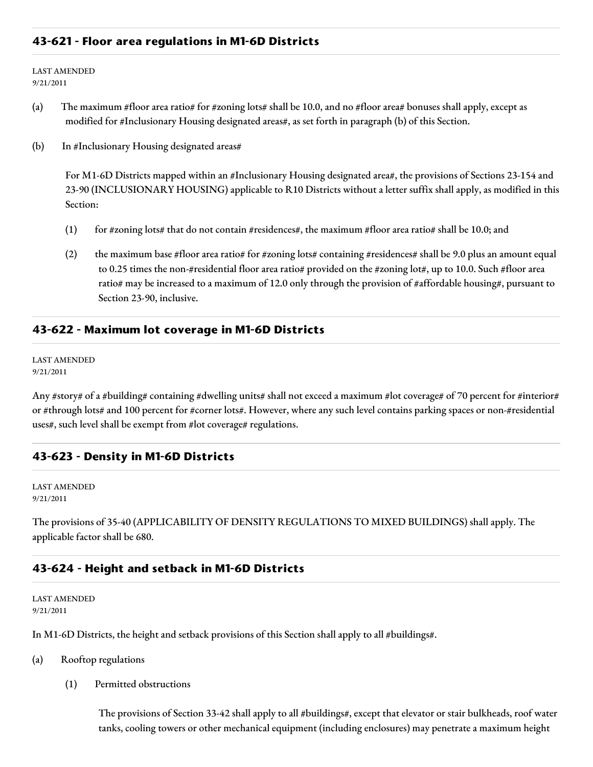### **43-621 - Floor area regulations in M1-6D Districts**

LAST AMENDED 9/21/2011

- (a) The maximum #floor area ratio# for #zoning lots# shall be 10.0, and no #floor area# bonuses shall apply, except as modified for #Inclusionary Housing designated areas#, as set forth in paragraph (b) of this Section.
- (b) In #Inclusionary Housing designated areas#

For M1-6D Districts mapped within an #Inclusionary Housing designated area#, the provisions of Sections 23-154 and 23-90 (INCLUSIONARY HOUSING) applicable to R10 Districts without a letter suffix shall apply, as modified in this Section:

- (1) for #zoning lots# that do not contain #residences#, the maximum #floor area ratio# shall be 10.0; and
- (2) the maximum base #floor area ratio# for #zoning lots# containing #residences# shall be 9.0 plus an amount equal to 0.25 times the non-#residential floor area ratio# provided on the #zoning lot#, up to 10.0. Such #floor area ratio# may be increased to a maximum of 12.0 only through the provision of #affordable housing#, pursuant to Section 23-90, inclusive.

#### **43-622 - Maximum lot coverage in M1-6D Districts**

LAST AMENDED 9/21/2011

Any #story# of a #building# containing #dwelling units# shall not exceed a maximum #lot coverage# of 70 percent for #interior# or #through lots# and 100 percent for #corner lots#. However, where any such level contains parking spaces or non-#residential uses#, such level shall be exempt from #lot coverage# regulations.

### **43-623 - Density in M1-6D Districts**

LAST AMENDED 9/21/2011

The provisions of 35-40 (APPLICABILITY OF DENSITY REGULATIONS TO MIXED BUILDINGS) shall apply. The applicable factor shall be 680.

#### **43-624 - Height and setback in M1-6D Districts**

LAST AMENDED 9/21/2011

In M1-6D Districts, the height and setback provisions of this Section shall apply to all #buildings#.

- (a) Rooftop regulations
	- (1) Permitted obstructions

The provisions of Section 33-42 shall apply to all #buildings#, except that elevator or stair bulkheads, roof water tanks, cooling towers or other mechanical equipment (including enclosures) may penetrate a maximum height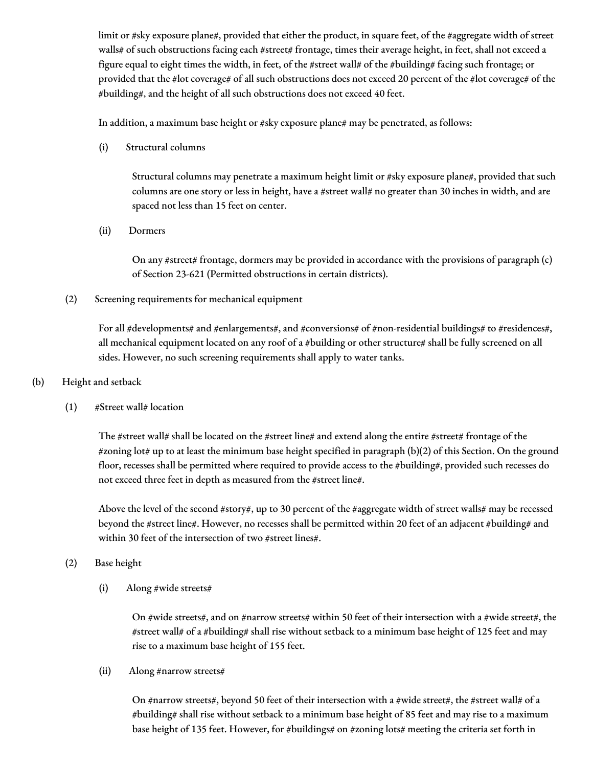limit or #sky exposure plane#, provided that either the product, in square feet, of the #aggregate width of street walls# of such obstructions facing each #street# frontage, times their average height, in feet, shall not exceed a figure equal to eight times the width, in feet, of the #street wall# of the #building# facing such frontage; or provided that the #lot coverage# of all such obstructions does not exceed 20 percent of the #lot coverage# of the #building#, and the height of all such obstructions does not exceed 40 feet.

In addition, a maximum base height or #sky exposure plane# may be penetrated, as follows:

(i) Structural columns

Structural columns may penetrate a maximum height limit or #sky exposure plane#, provided that such columns are one story or less in height, have a #street wall# no greater than 30 inches in width, and are spaced not less than 15 feet on center.

(ii) Dormers

On any #street# frontage, dormers may be provided in accordance with the provisions of paragraph (c) of Section 23-621 (Permitted obstructions in certain districts).

(2) Screening requirements for mechanical equipment

For all #developments# and #enlargements#, and #conversions# of #non-residential buildings# to #residences#, all mechanical equipment located on any roof of a #building or other structure# shall be fully screened on all sides. However, no such screening requirements shall apply to water tanks.

- (b) Height and setback
	- $(1)$  #Street wall# location

The #street wall# shall be located on the #street line# and extend along the entire #street# frontage of the #zoning lot# up to at least the minimum base height specified in paragraph (b)(2) of this Section. On the ground floor, recesses shall be permitted where required to provide access to the #building#, provided such recesses do not exceed three feet in depth as measured from the #street line#.

Above the level of the second #story#, up to 30 percent of the #aggregate width of street walls# may be recessed beyond the #street line#. However, no recesses shall be permitted within 20 feet of an adjacent #building# and within 30 feet of the intersection of two #street lines#.

- (2) Base height
	- (i) Along #wide streets#

On #wide streets#, and on #narrow streets# within 50 feet of their intersection with a #wide street#, the #street wall# of a #building# shall rise without setback to a minimum base height of 125 feet and may rise to a maximum base height of 155 feet.

(ii) Along #narrow streets#

On #narrow streets#, beyond 50 feet of their intersection with a #wide street#, the #street wall# of a #building# shall rise without setback to a minimum base height of 85 feet and may rise to a maximum base height of 135 feet. However, for #buildings# on #zoning lots# meeting the criteria set forth in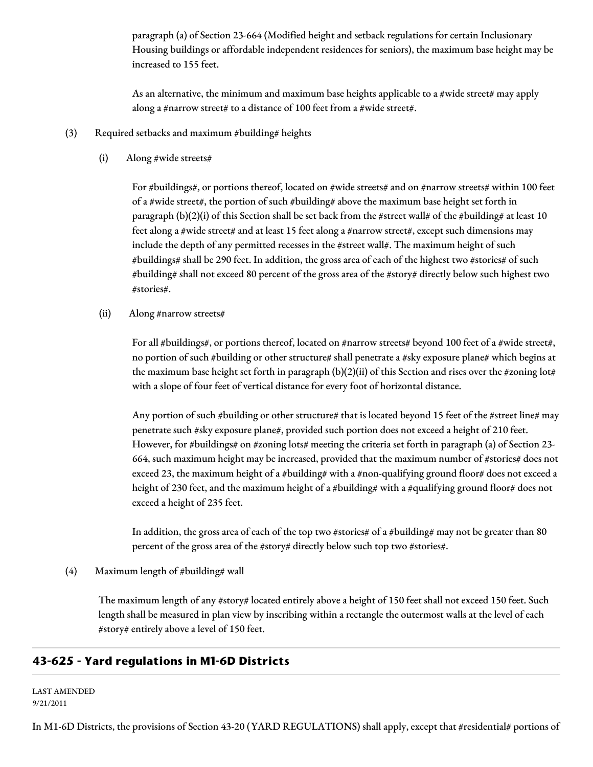paragraph (a) of Section 23-664 (Modified height and setback regulations for certain Inclusionary Housing buildings or affordable independent residences for seniors), the maximum base height may be increased to 155 feet.

As an alternative, the minimum and maximum base heights applicable to a #wide street# may apply along a #narrow street# to a distance of 100 feet from a #wide street#.

- (3) Required setbacks and maximum #building# heights
	- (i) Along #wide streets#

For #buildings#, or portions thereof, located on #wide streets# and on #narrow streets# within 100 feet of a #wide street#, the portion of such #building# above the maximum base height set forth in paragraph (b)(2)(i) of this Section shall be set back from the #street wall# of the #building# at least 10 feet along a #wide street# and at least 15 feet along a #narrow street#, except such dimensions may include the depth of any permitted recesses in the #street wall#. The maximum height of such #buildings# shall be 290 feet. In addition, the gross area of each of the highest two #stories# of such #building# shall not exceed 80 percent of the gross area of the #story# directly below such highest two #stories#.

(ii) Along #narrow streets#

For all #buildings#, or portions thereof, located on #narrow streets# beyond 100 feet of a #wide street#, no portion of such #building or other structure# shall penetrate a #sky exposure plane# which begins at the maximum base height set forth in paragraph (b)(2)(ii) of this Section and rises over the #zoning lot# with a slope of four feet of vertical distance for every foot of horizontal distance.

Any portion of such #building or other structure# that is located beyond 15 feet of the #street line# may penetrate such #sky exposure plane#, provided such portion does not exceed a height of 210 feet. However, for #buildings# on #zoning lots# meeting the criteria set forth in paragraph (a) of Section 23-664, such maximum height may be increased, provided that the maximum number of #stories# does not exceed 23, the maximum height of a #building# with a #non-qualifying ground floor# does not exceed a height of 230 feet, and the maximum height of a #building# with a #qualifying ground floor# does not exceed a height of 235 feet.

In addition, the gross area of each of the top two #stories# of a #building# may not be greater than 80 percent of the gross area of the #story# directly below such top two #stories#.

(4) Maximum length of #building# wall

The maximum length of any #story# located entirely above a height of 150 feet shall not exceed 150 feet. Such length shall be measured in plan view by inscribing within a rectangle the outermost walls at the level of each #story# entirely above a level of 150 feet.

# **43-625 - Yard regulations in M1-6D Districts**

LAST AMENDED 9/21/2011

In M1-6D Districts, the provisions of Section 43-20 (YARD REGULATIONS) shall apply, except that #residential# portions of